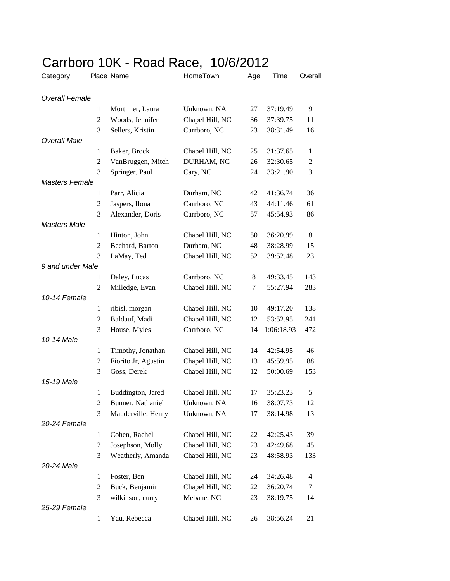## Carrboro 10K - Road Race, 10/6/2012

| Category              |                  | Place Name          | HomeTown        | Age | Time       | Overall        |
|-----------------------|------------------|---------------------|-----------------|-----|------------|----------------|
| Overall Female        |                  |                     |                 |     |            |                |
|                       | 1                | Mortimer, Laura     | Unknown, NA     | 27  | 37:19.49   | 9              |
|                       | $\overline{2}$   | Woods, Jennifer     | Chapel Hill, NC | 36  | 37:39.75   | 11             |
|                       | 3                | Sellers, Kristin    | Carrboro, NC    | 23  | 38:31.49   | 16             |
| <b>Overall Male</b>   |                  |                     |                 |     |            |                |
|                       | 1                | Baker, Brock        | Chapel Hill, NC | 25  | 31:37.65   | $\mathbf{1}$   |
|                       | $\overline{c}$   | VanBruggen, Mitch   | DURHAM, NC      | 26  | 32:30.65   | $\overline{c}$ |
|                       | 3                | Springer, Paul      | Cary, NC        | 24  | 33:21.90   | 3              |
| <b>Masters Female</b> |                  |                     |                 |     |            |                |
|                       | 1                | Parr, Alicia        | Durham, NC      | 42  | 41:36.74   | 36             |
|                       | $\boldsymbol{2}$ | Jaspers, Ilona      | Carrboro, NC    | 43  | 44:11.46   | 61             |
|                       | 3                | Alexander, Doris    | Carrboro, NC    | 57  | 45:54.93   | 86             |
| <b>Masters Male</b>   |                  |                     |                 |     |            |                |
|                       | $\mathbf{1}$     | Hinton, John        | Chapel Hill, NC | 50  | 36:20.99   | 8              |
|                       | 2                | Bechard, Barton     | Durham, NC      | 48  | 38:28.99   | 15             |
|                       | 3                | LaMay, Ted          | Chapel Hill, NC | 52  | 39:52.48   | 23             |
| 9 and under Male      |                  |                     |                 |     |            |                |
|                       | $\mathbf{1}$     | Daley, Lucas        | Carrboro, NC    | 8   | 49:33.45   | 143            |
|                       | $\mathfrak{2}$   | Milledge, Evan      | Chapel Hill, NC | 7   | 55:27.94   | 283            |
| 10-14 Female          |                  |                     |                 |     |            |                |
|                       | $\mathbf{1}$     | ribisl, morgan      | Chapel Hill, NC | 10  | 49:17.20   | 138            |
|                       | $\overline{2}$   | Baldauf, Madi       | Chapel Hill, NC | 12  | 53:52.95   | 241            |
|                       | 3                | House, Myles        | Carrboro, NC    | 14  | 1:06:18.93 | 472            |
| 10-14 Male            |                  |                     |                 |     |            |                |
|                       | $\mathbf{1}$     | Timothy, Jonathan   | Chapel Hill, NC | 14  | 42:54.95   | 46             |
|                       | 2                | Fiorito Jr, Agustin | Chapel Hill, NC | 13  | 45:59.95   | 88             |
|                       | 3                | Goss, Derek         | Chapel Hill, NC | 12  | 50:00.69   | 153            |
| 15-19 Male            |                  |                     |                 |     |            |                |
|                       | $\mathbf{1}$     | Buddington, Jared   | Chapel Hill, NC | 17  | 35:23.23   | 5              |
|                       | $\overline{c}$   | Bunner, Nathaniel   | Unknown, NA     | 16  | 38:07.73   | 12             |
|                       | 3                | Mauderville, Henry  | Unknown, NA     | 17  | 38:14.98   | 13             |
| 20-24 Female          |                  |                     |                 |     |            |                |
|                       | $\mathbf{1}$     | Cohen, Rachel       | Chapel Hill, NC | 22  | 42:25.43   | 39             |
|                       | $\overline{c}$   | Josephson, Molly    | Chapel Hill, NC | 23  | 42:49.68   | 45             |
|                       | 3                | Weatherly, Amanda   | Chapel Hill, NC | 23  | 48:58.93   | 133            |
| 20-24 Male            |                  |                     |                 |     |            |                |
|                       | $\mathbf{1}$     | Foster, Ben         | Chapel Hill, NC | 24  | 34:26.48   | 4              |
|                       | $\overline{c}$   | Buck, Benjamin      | Chapel Hill, NC | 22  | 36:20.74   | 7              |
|                       | 3                | wilkinson, curry    | Mebane, NC      | 23  | 38:19.75   | 14             |
| 25-29 Female          |                  |                     |                 |     |            |                |
|                       | 1                | Yau, Rebecca        | Chapel Hill, NC | 26  | 38:56.24   | 21             |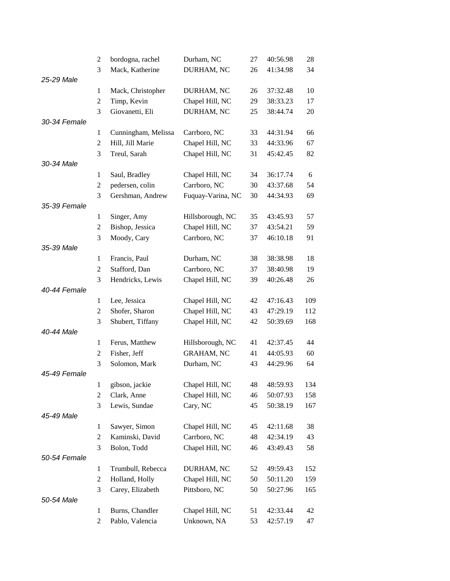|              | $\overline{c}$   | bordogna, rachel    | Durham, NC        | 27 | 40:56.98 | 28  |
|--------------|------------------|---------------------|-------------------|----|----------|-----|
|              | 3                | Mack, Katherine     | DURHAM, NC        | 26 | 41:34.98 | 34  |
| 25-29 Male   |                  |                     |                   |    |          |     |
|              | 1                | Mack, Christopher   | DURHAM, NC        | 26 | 37:32.48 | 10  |
|              | $\overline{c}$   | Timp, Kevin         | Chapel Hill, NC   | 29 | 38:33.23 | 17  |
|              | 3                | Giovanetti, Eli     | DURHAM, NC        | 25 | 38:44.74 | 20  |
| 30-34 Female |                  |                     |                   |    |          |     |
|              | $\mathbf{1}$     | Cunningham, Melissa | Carrboro, NC      | 33 | 44:31.94 | 66  |
|              | $\mathfrak 2$    | Hill, Jill Marie    | Chapel Hill, NC   | 33 | 44:33.96 | 67  |
|              | 3                | Treul, Sarah        | Chapel Hill, NC   | 31 | 45:42.45 | 82  |
| 30-34 Male   |                  |                     |                   |    |          |     |
|              | 1                | Saul, Bradley       | Chapel Hill, NC   | 34 | 36:17.74 | 6   |
|              | $\overline{c}$   | pedersen, colin     | Carrboro, NC      | 30 | 43:37.68 | 54  |
|              | 3                | Gershman, Andrew    | Fuquay-Varina, NC | 30 | 44:34.93 | 69  |
| 35-39 Female |                  |                     |                   |    |          |     |
|              | 1                | Singer, Amy         | Hillsborough, NC  | 35 | 43:45.93 | 57  |
|              | 2                | Bishop, Jessica     | Chapel Hill, NC   | 37 | 43:54.21 | 59  |
|              | 3                | Moody, Cary         | Carrboro, NC      | 37 | 46:10.18 | 91  |
| 35-39 Male   |                  |                     |                   |    |          |     |
|              | 1                | Francis, Paul       | Durham, NC        | 38 | 38:38.98 | 18  |
|              | $\mathbf{2}$     | Stafford, Dan       | Carrboro, NC      | 37 | 38:40.98 | 19  |
|              | 3                | Hendricks, Lewis    | Chapel Hill, NC   | 39 | 40:26.48 | 26  |
| 40-44 Female |                  |                     |                   |    |          |     |
|              | 1                | Lee, Jessica        | Chapel Hill, NC   | 42 | 47:16.43 | 109 |
|              | $\overline{c}$   | Shofer, Sharon      | Chapel Hill, NC   | 43 | 47:29.19 | 112 |
|              | 3                | Shubert, Tiffany    | Chapel Hill, NC   | 42 | 50:39.69 | 168 |
| 40-44 Male   |                  |                     |                   |    |          |     |
|              | 1                | Ferus, Matthew      | Hillsborough, NC  | 41 | 42:37.45 | 44  |
|              | $\overline{c}$   | Fisher, Jeff        | <b>GRAHAM, NC</b> | 41 | 44:05.93 | 60  |
|              | 3                | Solomon, Mark       | Durham, NC        | 43 | 44:29.96 | 64  |
| 45-49 Female |                  |                     |                   |    |          |     |
|              | $\mathbf{1}$     | gibson, jackie      | Chapel Hill, NC   | 48 | 48:59.93 | 134 |
|              | $\overline{c}$   | Clark, Anne         | Chapel Hill, NC   | 46 | 50:07.93 | 158 |
|              | 3                | Lewis, Sundae       | Cary, NC          | 45 | 50:38.19 | 167 |
| 45-49 Male   |                  |                     |                   |    |          |     |
|              | $\mathbf{1}$     | Sawyer, Simon       | Chapel Hill, NC   | 45 | 42:11.68 | 38  |
|              | $\overline{c}$   | Kaminski, David     | Carrboro, NC      | 48 | 42:34.19 | 43  |
|              | 3                | Bolon, Todd         | Chapel Hill, NC   | 46 | 43:49.43 | 58  |
| 50-54 Female |                  |                     |                   |    |          |     |
|              | $\mathbf{1}$     | Trumbull, Rebecca   | DURHAM, NC        | 52 | 49:59.43 | 152 |
|              | $\boldsymbol{2}$ | Holland, Holly      | Chapel Hill, NC   | 50 | 50:11.20 | 159 |
|              | 3                | Carey, Elizabeth    | Pittsboro, NC     | 50 | 50:27.96 | 165 |
| 50-54 Male   |                  |                     |                   |    |          |     |
|              | $\mathbf{1}$     | Burns, Chandler     | Chapel Hill, NC   | 51 | 42:33.44 | 42  |
|              | 2                | Pablo, Valencia     | Unknown, NA       | 53 | 42:57.19 | 47  |